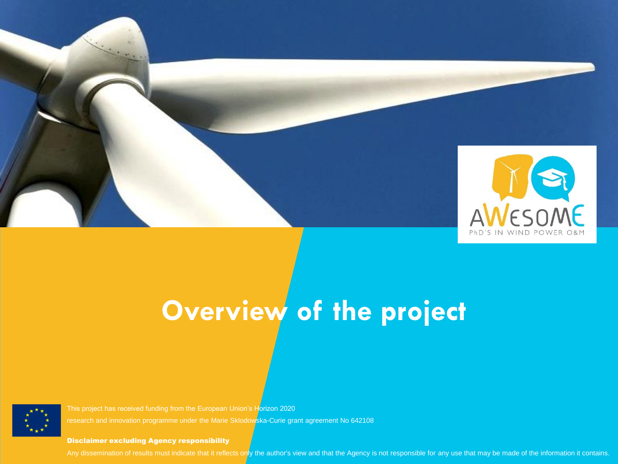

# **Overview of the project**



This project has received funding from the European Union's Horizon 2020 research and innovation programme under the Marie Sklodowska-Curie grant agreement No 642108

Disclaimer excluding Agency responsibility

**Discramer excluding Agency responsionly**<br>Any dissemination of results must indicate that it reflects only the author's view and that the Agency is not responsible for any use that may be made of the information it contain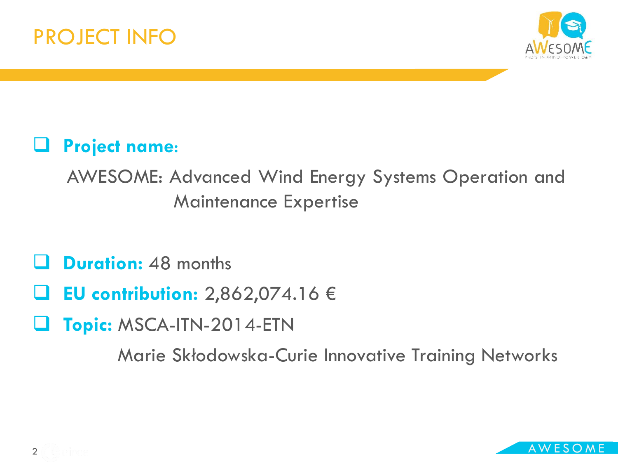



#### **Project name**:

AWESOME: Advanced Wind Energy Systems Operation and Maintenance Expertise

**Duration:** 48 months

- **EU contribution:** 2,862,074.16 €
- **Topic:** MSCA-ITN-2014-ETN

Marie Skłodowska-Curie Innovative Training Networks

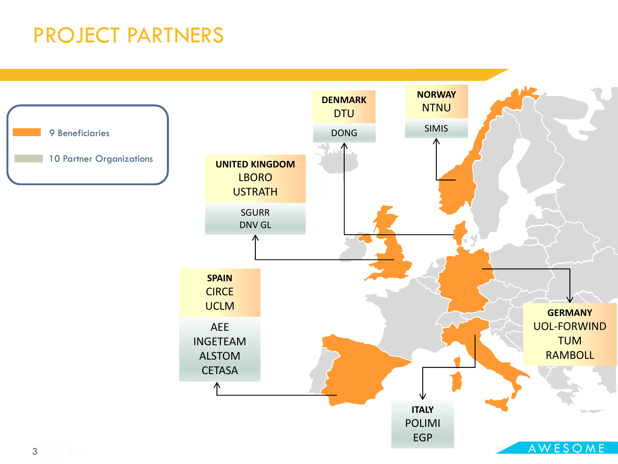#### PROJECT PARTNERS

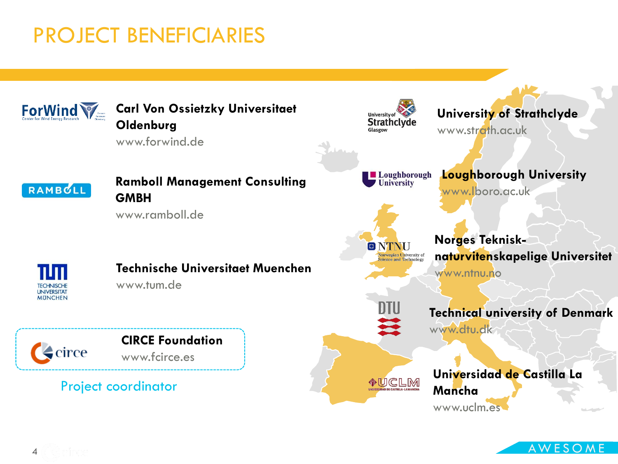#### PROJECT BENEFICIARIES



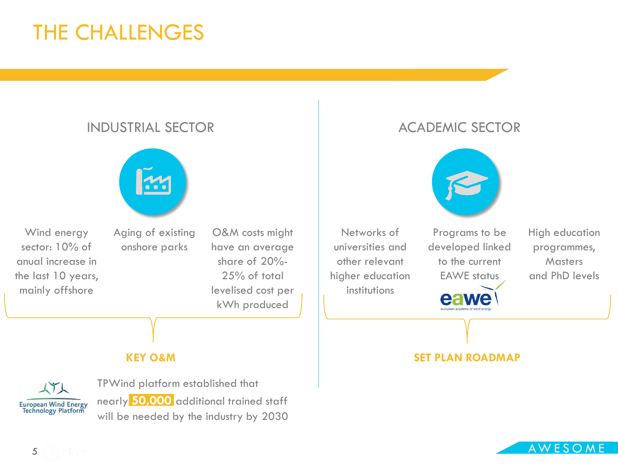#### THE CHALLENGES

#### INDUSTRIAL SECTOR **ACADEMIC SECTOR**



Wind energy sector: 10% of anual increase in the last 10 years, mainly offshore

Aging of existing onshore parks

**KEY O&M**

O&M costs might have an average share of 20%- 25% of total levelised cost per kWh produced



Networks of universities and other relevant higher education institutions

Programs to be developed linked to the current EAWE status

High education programmes, **Masters** and PhD levels

#### **SET PLAN ROADMAP**



TPWind platform established that nearly **50,000** additional trained staff will be needed by the industry by 2030

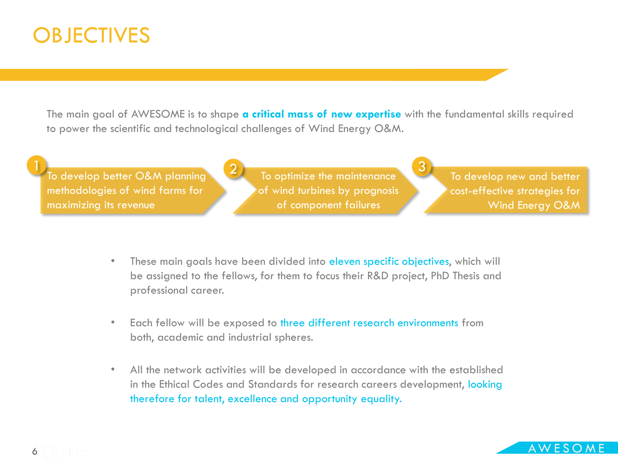#### **OBJECTIVES**

The main goal of AWESOME is to shape **a critical mass of new expertise** with the fundamental skills required to power the scientific and technological challenges of Wind Energy O&M.

1 To develop better O&M planning 2 To optimize the maintenance methodologies of wind farms for maximizing its revenue

To optimize the maintenance of wind turbines by prognosis of component failures

To develop new and better cost-effective strategies for Wind Energy O&M

- These main goals have been divided into eleven specific objectives, which will be assigned to the fellows, for them to focus their R&D project, PhD Thesis and professional career.
- Each fellow will be exposed to three different research environments from both, academic and industrial spheres.
- All the network activities will be developed in accordance with the established in the Ethical Codes and Standards for research careers development, looking therefore for talent, excellence and opportunity equality.

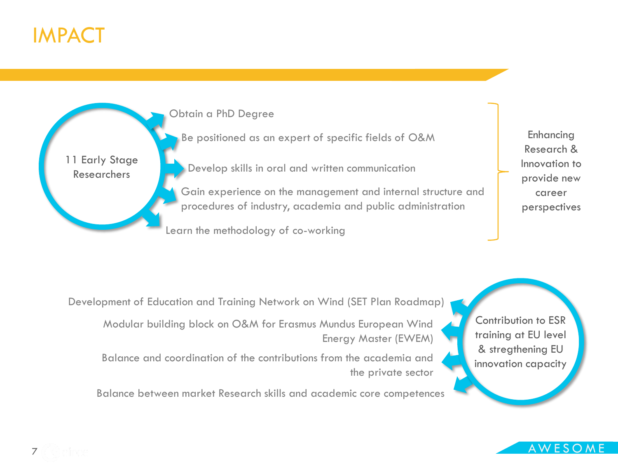

11 Early Stage Researchers



Be positioned as an expert of specific fields of O&M

Develop skills in oral and written communication

- Gain experience on the management and internal structure and procedures of industry, academia and public administration
- Learn the methodology of co-working

Enhancing Research & Innovation to provide new career perspectives

- Development of Education and Training Network on Wind (SET Plan Roadmap)
	- Modular building block on O&M for Erasmus Mundus European Wind Energy Master (EWEM)
	- Balance and coordination of the contributions from the academia and the private sector
	- Balance between market Research skills and academic core competences

Contribution to ESR training at EU level & stregthening EU innovation capacity

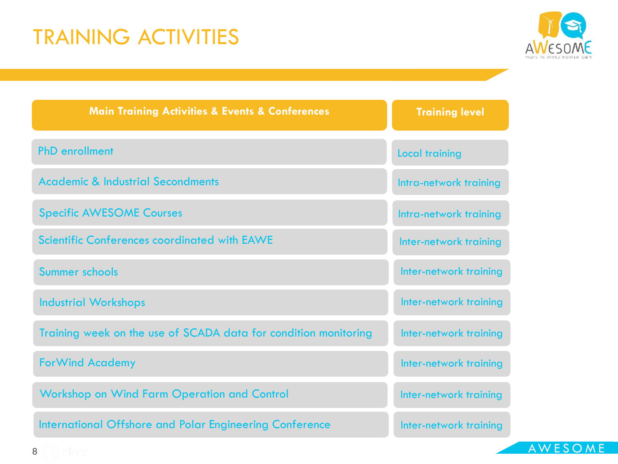### TRAINING ACTIVITIES



| <b>Main Training Activities &amp; Events &amp; Conferences</b>  | <b>Training level</b>  |
|-----------------------------------------------------------------|------------------------|
| <b>PhD</b> enrollment                                           | <b>Local training</b>  |
| <b>Academic &amp; Industrial Secondments</b>                    | Intra-network training |
| <b>Specific AWESOME Courses</b>                                 | Intra-network training |
| <b>Scientific Conferences coordinated with EAWE</b>             | Inter-network training |
| Summer schools                                                  | Inter-network training |
| <b>Industrial Workshops</b>                                     | Inter-network training |
| Training week on the use of SCADA data for condition monitoring | Inter-network training |
| <b>ForWind Academy</b>                                          | Inter-network training |
| <b>Workshop on Wind Farm Operation and Control</b>              | Inter-network training |
| International Offshore and Polar Engineering Conference         | Inter-network training |